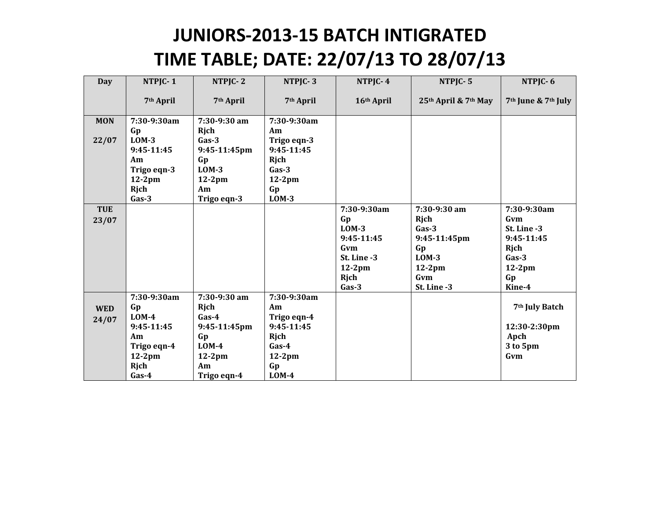## JUNIORS-2013-15 BATCH INTIGRATED TIME TABLE; DATE: 22/07/13 TO 28/07/13

| Day        | NTPJC-1               | NTPJC-2               | NTPJC-3               | NTPJC-4     | NTPJC-5              | NTPJC-6                                     |
|------------|-----------------------|-----------------------|-----------------------|-------------|----------------------|---------------------------------------------|
|            | 7 <sup>th</sup> April | 7 <sup>th</sup> April | 7 <sup>th</sup> April | 16th April  | 25th April & 7th May | 7 <sup>th</sup> June & 7 <sup>th</sup> July |
| <b>MON</b> | 7:30-9:30am           | 7:30-9:30 am          | 7:30-9:30am           |             |                      |                                             |
|            | Gp                    | Rjch                  | Am                    |             |                      |                                             |
| 22/07      | $LOM-3$               | $Gas-3$               | Trigo eqn-3           |             |                      |                                             |
|            | 9:45-11:45            | 9:45-11:45pm          | 9:45-11:45            |             |                      |                                             |
|            | Am                    | Gp                    | Rjch                  |             |                      |                                             |
|            | Trigo eqn-3           | $LOM-3$               | $Gas-3$               |             |                      |                                             |
|            | $12-2pm$              | $12-2pm$              | $12-2pm$              |             |                      |                                             |
|            | Rjch                  | Am                    | Gp                    |             |                      |                                             |
|            | $Gas-3$               | Trigo eqn-3           | $LOM-3$               |             |                      |                                             |
| <b>TUE</b> |                       |                       |                       | 7:30-9:30am | $7:30-9:30$ am       | 7:30-9:30am                                 |
| 23/07      |                       |                       |                       | Gp          | Rich                 | Gvm                                         |
|            |                       |                       |                       | $LOM-3$     | $Gas-3$              | St. Line -3                                 |
|            |                       |                       |                       | 9:45-11:45  | 9:45-11:45pm         | 9:45-11:45                                  |
|            |                       |                       |                       | Gvm         | Gp                   | Rjch                                        |
|            |                       |                       |                       | St. Line -3 | $LOM-3$              | $Gas-3$                                     |
|            |                       |                       |                       | $12-2pm$    | $12-2pm$             | $12-2pm$                                    |
|            |                       |                       |                       | Rjch        | Gvm                  | Gp                                          |
|            |                       |                       |                       | $Gas-3$     | St. Line -3          | Kine-4                                      |
|            | 7:30-9:30am           | 7:30-9:30 am          | 7:30-9:30am           |             |                      |                                             |
| <b>WED</b> | Gp                    | Rjch                  | Am                    |             |                      | 7 <sup>th</sup> July Batch                  |
| 24/07      | $LOM-4$               | $Gas-4$               | Trigo eqn-4           |             |                      |                                             |
|            | 9:45-11:45            | 9:45-11:45pm          | 9:45-11:45            |             |                      | 12:30-2:30pm                                |
|            | Am                    | Gp                    | Rjch                  |             |                      | Apch                                        |
|            | Trigo eqn-4           | $LOM-4$               | $Gas-4$               |             |                      | 3 to 5pm                                    |
|            | $12-2pm$              | $12-2pm$              | $12-2pm$              |             |                      | Gvm                                         |
|            | Rjch                  | Am                    | Gp                    |             |                      |                                             |
|            | $Gas-4$               | Trigo eqn-4           | $LOM-4$               |             |                      |                                             |